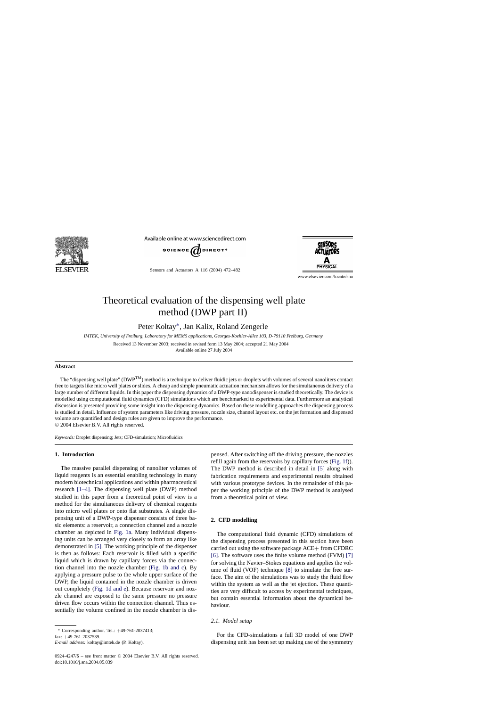<span id="page-0-0"></span>

Available online at www.sciencedirect.com





Sensors and Actuators A 116 (2004) 472–482

www.elsevier.com/locate/sna

# Theoretical evaluation of the dispensing well plate method (DWP part II)

Peter Koltay∗, Jan Kalix, Roland Zengerle

*IMTEK, University of Freiburg, Laboratory for MEMS applications, Georges-Koehler-Allee 103, D-79110 Freiburg, Germany*

Received 13 November 2003; received in revised form 13 May 2004; accepted 21 May 2004

Available online 27 July 2004

# **Abstract**

The "dispensing well plate" ( $DWP^{TM}$ ) method is a technique to deliver fluidic jets or droplets with volumes of several nanoliters contact free to targets like micro well plates or slides. A cheap and simple pneumatic actuation mechanism allows for the simultaneous delivery of a large number of different liquids. In this paper the dispensing dynamics of a DWP-type nanodispenser is studied theoretically. The device is modelled using computational fluid dynamics (CFD) simulations which are benchmarked to experimental data. Furthermore an analytical discussion is presented providing some insight into the dispensing dynamics. Based on these modelling approaches the dispensing process is studied in detail. Influence of system parameters like driving pressure, nozzle size, channel layout etc. on the jet formation and dispensed volume are quantified and design rules are given to improve the performance. © 2004 Elsevier B.V. All rights reserved.

*Keywords:* Droplet dispensing; Jets; CFD-simulation; Microfluidics

## **1. Introduction**

The massive parallel dispensing of nanoliter volumes of liquid reagents is an essential enabling technology in many modern biotechnical applications and within pharmaceutical research [\[1–4\].](#page-10-0) The dispensing well plate (DWP) method studied in this paper from a theoretical point of view is a method for the simultaneous delivery of chemical reagents into micro well plates or onto flat substrates. A single dispensing unit of a DWP-type dispenser consists of three basic elements: a reservoir, a connection channel and a nozzle chamber as depicted in [Fig. 1a.](#page-1-0) Many individual dispensing units can be arranged very closely to form an array like demonstrated in [\[5\].](#page-10-0) The working principle of the dispenser is then as follows: Each reservoir is filled with a specific liquid which is drawn by capillary forces via the connection channel into the nozzle chamber ([Fig. 1b and c\)](#page-1-0). By applying a pressure pulse to the whole upper surface of the DWP, the liquid contained in the nozzle chamber is driven out completely ([Fig. 1d and e\).](#page-1-0) Because reservoir and nozzle channel are exposed to the same pressure no pressure driven flow occurs within the connection channel. Thus essentially the volume confined in the nozzle chamber is dis-

fax: +49-761-2037539.

0924-4247/\$ – see front matter © 2004 Elsevier B.V. All rights reserved. doi:10.1016/j.sna.2004.05.039

pensed. After switching off the driving pressure, the nozzles refill again from the reservoirs by capillary forces ([Fig. 1f\)\)](#page-1-0). The DWP method is described in detail in [\[5\]](#page-10-0) along with fabrication requirements and experimental results obtained with various prototype devices. In the remainder of this paper the working principle of the DWP method is analysed from a theoretical point of view.

# **2. CFD modelling**

The computational fluid dynamic (CFD) simulations of the dispensing process presented in this section have been carried out using the software package ACE+ from CFDRC [\[6\].](#page-10-0) The software uses the finite volume method (FVM) [\[7\]](#page-10-0) for solving the Navier–Stokes equations and applies the volume of fluid (VOF) technique [\[8\]](#page-10-0) to simulate the free surface. The aim of the simulations was to study the fluid flow within the system as well as the jet ejection. These quantities are very difficult to access by experimental techniques, but contain essential information about the dynamical behaviour.

#### *2.1. Model setup*

For the CFD-simulations a full 3D model of one DWP dispensing unit has been set up making use of the symmetry

<sup>∗</sup> Corresponding author. Tel.: +49-761-2037413;

*E-mail address:* koltay@imtek.de (P. Koltay).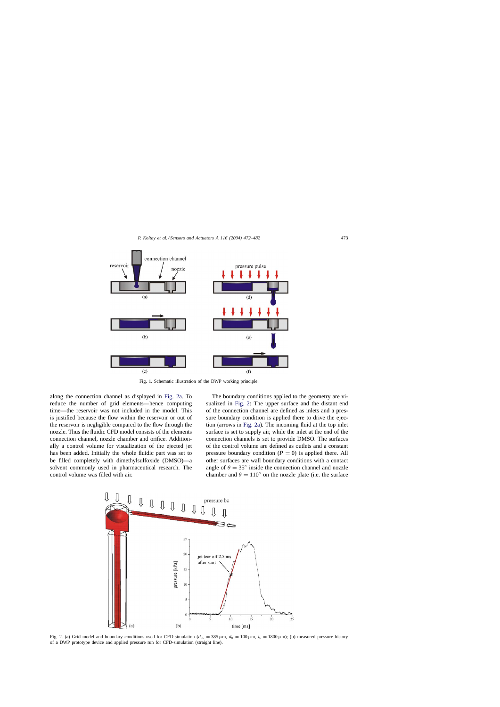<span id="page-1-0"></span>

Fig. 1. Schematic illustration of the DWP working principle.

along the connection channel as displayed in Fig. 2a. To reduce the number of grid elements—hence computing time—the reservoir was not included in the model. This is justified because the flow within the reservoir or out of the reservoir is negligible compared to the flow through the nozzle. Thus the fluidic CFD model consists of the elements connection channel, nozzle chamber and orifice. Additionally a control volume for visualization of the ejected jet has been added. Initially the whole fluidic part was set to be filled completely with dimethylsulfoxide (DMSO)—a solvent commonly used in pharmaceutical research. The control volume was filled with air.

The boundary conditions applied to the geometry are visualized in Fig. 2: The upper surface and the distant end of the connection channel are defined as inlets and a pressure boundary condition is applied there to drive the ejection (arrows in Fig. 2a). The incoming fluid at the top inlet surface is set to supply air, while the inlet at the end of the connection channels is set to provide DMSO. The surfaces of the control volume are defined as outlets and a constant pressure boundary condition  $(P = 0)$  is applied there. All other surfaces are wall boundary conditions with a contact angle of  $\theta = 35^\circ$  inside the connection channel and nozzle chamber and  $\theta = 110^{\circ}$  on the nozzle plate (i.e. the surface



Fig. 2. (a) Grid model and boundary conditions used for CFD-simulation ( $d_{nc} = 385 \,\mu\text{m}$ ,  $d_0 = 100 \,\mu\text{m}$ ,  $l_c = 1800 \,\mu\text{m}$ ); (b) measured pressure history of a DWP prototype device and applied pressure run for CFD-simulation (straight line).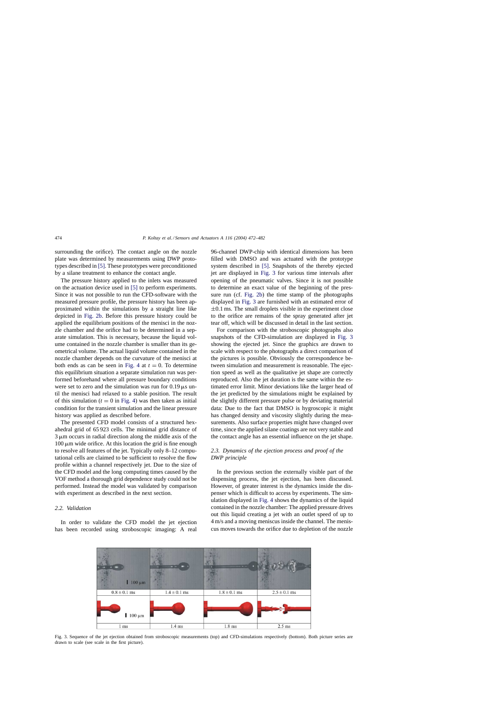surrounding the orifice). The contact angle on the nozzle plate was determined by measurements using DWP prototypes described in [\[5\]. T](#page-10-0)hese prototypes were preconditioned by a silane treatment to enhance the contact angle.

The pressure history applied to the inlets was measured on the actuation device used in [\[5\]](#page-10-0) to perform experiments. Since it was not possible to run the CFD-software with the measured pressure profile, the pressure history has been approximated within the simulations by a straight line like depicted in [Fig. 2b.](#page-1-0) Before this pressure history could be applied the equilibrium positions of the menisci in the nozzle chamber and the orifice had to be determined in a separate simulation. This is necessary, because the liquid volume contained in the nozzle chamber is smaller than its geometrical volume. The actual liquid volume contained in the nozzle chamber depends on the curvature of the menisci at both ends as can be seen in [Fig. 4](#page-3-0) at  $t = 0$ . To determine this equilibrium situation a separate simulation run was performed beforehand where all pressure boundary conditions were set to zero and the simulation was run for  $0.19 \mu s$  until the menisci had relaxed to a stable position. The result of this simulation  $(t = 0$  in [Fig. 4\)](#page-3-0) was then taken as initial condition for the transient simulation and the linear pressure history was applied as described before.

The presented CFD model consists of a structured hexahedral grid of 65 923 cells. The minimal grid distance of  $3 \mu$ m occurs in radial direction along the middle axis of the  $100 \mu m$  wide orifice. At this location the grid is fine enough to resolve all features of the jet. Typically only 8–12 computational cells are claimed to be sufficient to resolve the flow profile within a channel respectively jet. Due to the size of the CFD model and the long computing times caused by the VOF method a thorough grid dependence study could not be performed. Instead the model was validated by comparison with experiment as described in the next section.

## *2.2. Validation*

In order to validate the CFD model the jet ejection has been recorded using stroboscopic imaging: A real

96-channel DWP-chip with identical dimensions has been filled with DMSO and was actuated with the prototype system described in [\[5\].](#page-10-0) Snapshots of the thereby ejected jet are displayed in Fig. 3 for various time intervals after opening of the pneumatic valves. Since it is not possible to determine an exact value of the beginning of the pressure run (cf. [Fig. 2b\)](#page-1-0) the time stamp of the photographs displayed in Fig. 3 are furnished with an estimated error of  $\pm 0.1$  ms. The small droplets visible in the experiment close to the orifice are remains of the spray generated after jet tear off, which will be discussed in detail in the last section.

For comparison with the stroboscopic photographs also snapshots of the CFD-simulation are displayed in Fig. 3 showing the ejected jet. Since the graphics are drawn to scale with respect to the photographs a direct comparison of the pictures is possible. Obviously the correspondence between simulation and measurement is reasonable. The ejection speed as well as the qualitative jet shape are correctly reproduced. Also the jet duration is the same within the estimated error limit. Minor deviations like the larger head of the jet predicted by the simulations might be explained by the slightly different pressure pulse or by deviating material data: Due to the fact that DMSO is hygroscopic it might has changed density and viscosity slightly during the measurements. Also surface properties might have changed over time, since the applied silane coatings are not very stable and the contact angle has an essential influence on the jet shape.

# *2.3. Dynamics of the ejection process and proof of the DWP principle*

In the previous section the externally visible part of the dispensing process, the jet ejection, has been discussed. However, of greater interest is the dynamics inside the dispenser which is difficult to access by experiments. The simulation displayed in [Fig. 4](#page-3-0) shows the dynamics of the liquid contained in the nozzle chamber: The applied pressure drives out this liquid creating a jet with an outlet speed of up to 4 m/s and a moving meniscus inside the channel. The meniscus moves towards the orifice due to depletion of the nozzle



Fig. 3. Sequence of the jet ejection obtained from stroboscopic measurements (top) and CFD-simulations respectively (bottom). Both picture series are drawn to scale (see scale in the first picture).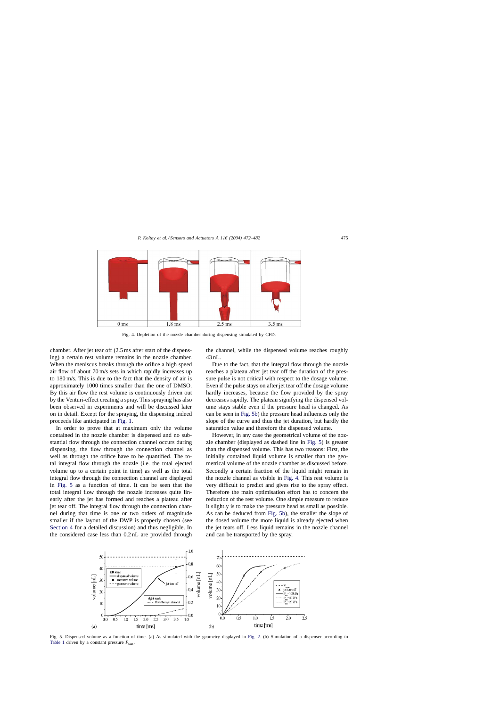<span id="page-3-0"></span>

Fig. 4. Depletion of the nozzle chamber during dispensing simulated by CFD.

chamber. After jet tear off (2.5 ms after start of the dispensing) a certain rest volume remains in the nozzle chamber. When the meniscus breaks through the orifice a high speed air flow of about 70 m/s sets in which rapidly increases up to 180 m/s. This is due to the fact that the density of air is approximately 1000 times smaller than the one of DMSO. By this air flow the rest volume is continuously driven out by the Venturi-effect creating a spray. This spraying has also been observed in experiments and will be discussed later on in detail. Except for the spraying, the dispensing indeed proceeds like anticipated in [Fig. 1.](#page-1-0)

In order to prove that at maximum only the volume contained in the nozzle chamber is dispensed and no substantial flow through the connection channel occurs during dispensing, the flow through the connection channel as well as through the orifice have to be quantified. The total integral flow through the nozzle (i.e. the total ejected volume up to a certain point in time) as well as the total integral flow through the connection channel are displayed in Fig. 5 as a function of time. It can be seen that the total integral flow through the nozzle increases quite linearly after the jet has formed and reaches a plateau after jet tear off. The integral flow through the connection channel during that time is one or two orders of magnitude smaller if the layout of the DWP is properly chosen (see [Section 4](#page-6-0) for a detailed discussion) and thus negligible. In the considered case less than 0.2 nL are provided through

the channel, while the dispensed volume reaches roughly 43 nL.

Due to the fact, that the integral flow through the nozzle reaches a plateau after jet tear off the duration of the pressure pulse is not critical with respect to the dosage volume. Even if the pulse stays on after jet tear off the dosage volume hardly increases, because the flow provided by the spray decreases rapidly. The plateau signifying the dispensed volume stays stable even if the pressure head is changed. As can be seen in Fig. 5b) the pressure head influences only the slope of the curve and thus the jet duration, but hardly the saturation value and therefore the dispensed volume.

However, in any case the geometrical volume of the nozzle chamber (displayed as dashed line in Fig. 5) is greater than the dispensed volume. This has two reasons: First, the initially contained liquid volume is smaller than the geometrical volume of the nozzle chamber as discussed before. Secondly a certain fraction of the liquid might remain in the nozzle channel as visible in Fig. 4. This rest volume is very difficult to predict and gives rise to the spray effect. Therefore the main optimisation effort has to concern the reduction of the rest volume. One simple measure to reduce it slightly is to make the pressure head as small as possible. As can be deduced from Fig. 5b), the smaller the slope of the dosed volume the more liquid is already ejected when the jet tears off. Less liquid remains in the nozzle channel and can be transported by the spray.



Fig. 5. Dispensed volume as a function of time. (a) As simulated with the geometry displayed in [Fig. 2.](#page-1-0) (b) Simulation of a dispenser according to [Table 1](#page-4-0) driven by a constant pressure  $P_{\text{stat}}$ .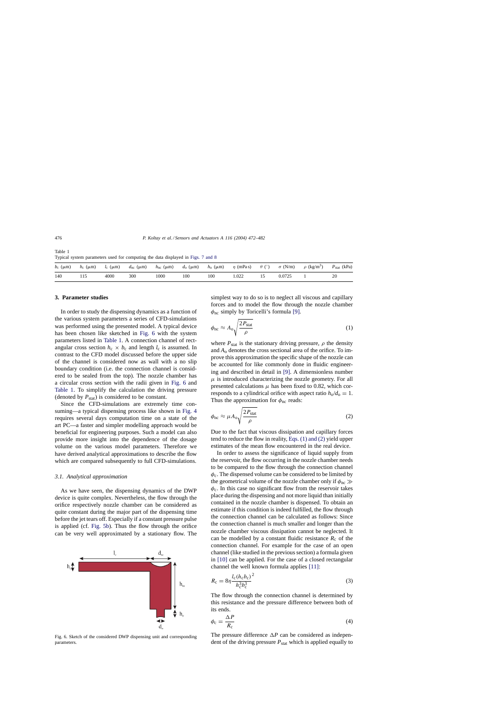<span id="page-4-0"></span>Table 1 Typical system parameters used for computing the data displayed in [Figs. 7 and 8](#page-6-0)

| $b_c$ ( $\mu$ m) | $h_c$ ( $\mu$ m) | $(\mu m)$ | $(\mu m)$<br>$d_{\rm nc}$ | $(\mu m)$<br>$h_{\rm nc}$ | $d_0$ ( $\mu$ m) | $h_0$ ( $\mu$ m) | $\eta$ (mPas) | $\theta$ (° | $\sigma$ (N/m) | $(kg/m^3)$ | (kPa)<br>stat |
|------------------|------------------|-----------|---------------------------|---------------------------|------------------|------------------|---------------|-------------|----------------|------------|---------------|
| 140              | 115              | 4000      | 300                       | 1000                      | 100              | 100              | 1.022         |             | 0.0725         |            | 20            |

## **3. Parameter studies**

In order to study the dispensing dynamics as a function of the various system parameters a series of CFD-simulations was performed using the presented model. A typical device has been chosen like sketched in Fig. 6 with the system parameters listed in Table 1. A connection channel of rectangular cross section  $h_c \times b_c$  and length  $l_c$  is assumed. In contrast to the CFD model discussed before the upper side of the channel is considered now as wall with a no slip boundary condition (i.e. the connection channel is considered to be sealed from the top). The nozzle chamber has a circular cross section with the radii given in Fig. 6 and Table 1. To simplify the calculation the driving pressure (denoted by  $P_{stat}$ ) is considered to be constant.

Since the CFD-simulations are extremely time consuming—a typical dispensing process like shown in [Fig. 4](#page-3-0) requires several days computation time on a state of the art PC—a faster and simpler modelling approach would be beneficial for engineering purposes. Such a model can also provide more insight into the dependence of the dosage volume on the various model parameters. Therefore we have derived analytical approximations to describe the flow which are compared subsequently to full CFD-simulations.

#### *3.1. Analytical approximation*

As we have seen, the dispensing dynamics of the DWP device is quite complex. Nevertheless, the flow through the orifice respectively nozzle chamber can be considered as quite constant during the major part of the dispensing time before the jet tears off. Especially if a constant pressure pulse is applied (cf. [Fig. 5b\).](#page-3-0) Thus the flow through the orifice can be very well approximated by a stationary flow. The



Fig. 6. Sketch of the considered DWP dispensing unit and corresponding parameters.

simplest way to do so is to neglect all viscous and capillary forces and to model the flow through the nozzle chamber  $\phi_{\text{nc}}$  simply by Toricelli's formula [\[9\].](#page-10-0)

$$
\phi_{\rm nc} \approx A_0 \sqrt{\frac{2P_{\rm stat}}{\rho}} \tag{1}
$$

where  $P_{stat}$  is the stationary driving pressure,  $\rho$  the density and *A*<sup>o</sup> denotes the cross sectional area of the orifice. To improve this approximation the specific shape of the nozzle can be accounted for like commonly done in fluidic engineering and described in detail in [\[9\].](#page-10-0) A dimensionless number  $\mu$  is introduced characterizing the nozzle geometry. For all presented calculations  $\mu$  has been fixed to 0.82, which corresponds to a cylindrical orifice with aspect ratio  $h_0/d_0 = 1$ . Thus the approximation for  $\phi_{nc}$  reads:

$$
\phi_{\rm nc} \approx \mu A_0 \sqrt{\frac{2P_{\rm stat}}{\rho}} \tag{2}
$$

Due to the fact that viscous dissipation and capillary forces tend to reduce the flow in reality, Eqs. (1) and (2) yield upper estimates of the mean flow encountered in the real device.

In order to assess the significance of liquid supply from the reservoir, the flow occurring in the nozzle chamber needs to be compared to the flow through the connection channel  $\phi_c$ . The dispensed volume can be considered to be limited by the geometrical volume of the nozzle chamber only if  $\phi_{nc} \gg$  $\phi_c$ . In this case no significant flow from the reservoir takes place during the dispensing and not more liquid than initially contained in the nozzle chamber is dispensed. To obtain an estimate if this condition is indeed fulfilled, the flow through the connection channel can be calculated as follows: Since the connection channel is much smaller and longer than the nozzle chamber viscous dissipation cannot be neglected. It can be modelled by a constant fluidic resistance  $R_c$  of the connection channel. For example for the case of an open channel (like studied in the previous section) a formula given in [\[10\]](#page-10-0) can be applied. For the case of a closed rectangular channel the well known formula applies [\[11\]:](#page-10-0)

$$
R_{\rm c} = 8\eta \frac{l_{\rm c}(h_{\rm c}b_{\rm c})^2}{h_{\rm c}^3 b_{\rm c}^3} \tag{3}
$$

The flow through the connection channel is determined by this resistance and the pressure difference between both of its ends.

$$
\phi_{\rm c} = \frac{\Delta P}{R_{\rm c}}\tag{4}
$$

The pressure difference  $\Delta P$  can be considered as independent of the driving pressure  $P_{stat}$  which is applied equally to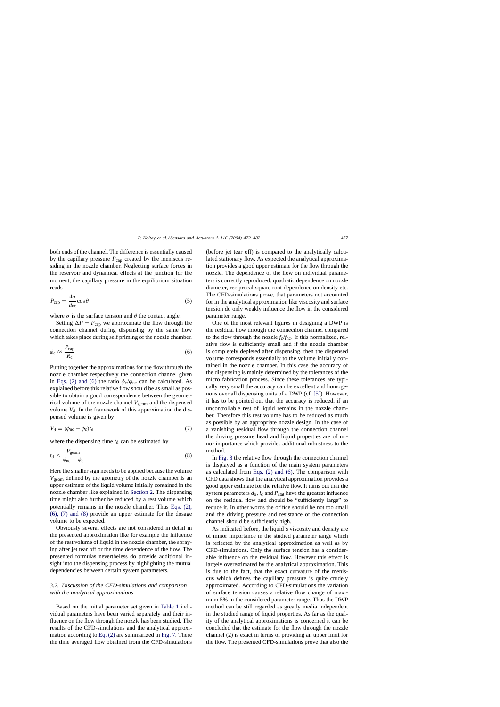both ends of the channel. The difference is essentially caused by the capillary pressure  $P_{\text{cap}}$  created by the meniscus residing in the nozzle chamber. Neglecting surface forces in the reservoir and dynamical effects at the junction for the moment, the capillary pressure in the equilibrium situation reads

$$
P_{\rm cap} = \frac{4\sigma}{d_{\rm nc}} \cos \theta \tag{5}
$$

where  $\sigma$  is the surface tension and  $\theta$  the contact angle.

Setting  $\Delta P = P_{\text{cap}}$  we approximate the flow through the connection channel during dispensing by the same flow which takes place during self priming of the nozzle chamber.

$$
\phi_{\rm c} \approx \frac{P_{\rm cap}}{R_{\rm c}}\tag{6}
$$

Putting together the approximations for the flow through the nozzle chamber respectively the connection channel given in [Eqs. \(2\) and \(6\)](#page-4-0) the ratio  $\phi_c/\phi_{nc}$  can be calculated. As explained before this relative flow should be as small as possible to obtain a good correspondence between the geometrical volume of the nozzle channel  $V_{\text{geom}}$  and the dispensed volume  $V_d$ . In the framework of this approximation the dispensed volume is given by

$$
V_{\rm d} = (\phi_{\rm nc} + \phi_{\rm c})t_{\rm d} \tag{7}
$$

where the dispensing time  $t_d$  can be estimated by

$$
t_{\rm d} \le \frac{V_{\rm geom}}{\phi_{\rm nc} - \phi_{\rm c}}\tag{8}
$$

Here the smaller sign needs to be applied because the volume *V*geom defined by the geometry of the nozzle chamber is an upper estimate of the liquid volume initially contained in the nozzle chamber like explained in [Section 2. T](#page-0-0)he dispensing time might also further be reduced by a rest volume which potentially remains in the nozzle chamber. Thus [Eqs. \(2\),](#page-4-0) [\(6\), \(7\) and \(8\)](#page-4-0) provide an upper estimate for the dosage volume to be expected.

Obviously several effects are not considered in detail in the presented approximation like for example the influence of the rest volume of liquid in the nozzle chamber, the spraying after jet tear off or the time dependence of the flow. The presented formulas nevertheless do provide additional insight into the dispensing process by highlighting the mutual dependencies between certain system parameters.

# *3.2. Discussion of the CFD-simulations and comparison with the analytical approximations*

Based on the initial parameter set given in [Table 1](#page-4-0) individual parameters have been varied separately and their influence on the flow through the nozzle has been studied. The results of the CFD-simulations and the analytical approximation according to [Eq. \(2\)](#page-4-0) are summarized in [Fig. 7. T](#page-6-0)here the time averaged flow obtained from the CFD-simulations (before jet tear off) is compared to the analytically calculated stationary flow. As expected the analytical approximation provides a good upper estimate for the flow through the nozzle. The dependence of the flow on individual parameters is correctly reproduced: quadratic dependence on nozzle diameter, reciprocal square root dependence on density etc. The CFD-simulations prove, that parameters not accounted for in the analytical approximation like viscosity and surface tension do only weakly influence the flow in the considered parameter range.

One of the most relevant figures in designing a DWP is the residual flow through the connection channel compared to the flow through the nozzle *f*c/*f*nc. If this normalized, relative flow is sufficiently small and if the nozzle chamber is completely depleted after dispensing, then the dispensed volume corresponds essentially to the volume initially contained in the nozzle chamber. In this case the accuracy of the dispensing is mainly determined by the tolerances of the micro fabrication process. Since these tolerances are typically very small the accuracy can be excellent and homogenous over all dispensing units of a DWP (cf. [\[5\]\).](#page-10-0) However, it has to be pointed out that the accuracy is reduced, if an uncontrollable rest of liquid remains in the nozzle chamber. Therefore this rest volume has to be reduced as much as possible by an appropriate nozzle design. In the case of a vanishing residual flow through the connection channel the driving pressure head and liquid properties are of minor importance which provides additional robustness to the method.

In [Fig. 8](#page-7-0) the relative flow through the connection channel is displayed as a function of the main system parameters as calculated from [Eqs. \(2\) and \(6\).](#page-4-0) The comparison with CFD data shows that the analytical approximation provides a good upper estimate for the relative flow. It turns out that the system parameters  $d_0$ ,  $l_c$  and  $P_{stat}$  have the greatest influence on the residual flow and should be "sufficiently large" to reduce it. In other words the orifice should be not too small and the driving pressure and resistance of the connection channel should be sufficiently high.

As indicated before, the liquid's viscosity and density are of minor importance in the studied parameter range which is reflected by the analytical approximation as well as by CFD-simulations. Only the surface tension has a considerable influence on the residual flow. However this effect is largely overestimated by the analytical approximation. This is due to the fact, that the exact curvature of the meniscus which defines the capillary pressure is quite crudely approximated. According to CFD-simulations the variation of surface tension causes a relative flow change of maximum 5% in the considered parameter range. Thus the DWP method can be still regarded as greatly media independent in the studied range of liquid properties. As far as the quality of the analytical approximations is concerned it can be concluded that the estimate for the flow through the nozzle channel (2) is exact in terms of providing an upper limit for the flow. The presented CFD-simulations prove that also the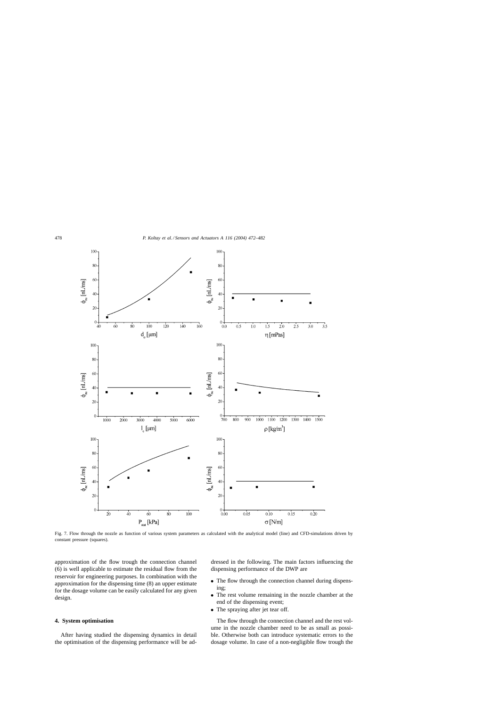<span id="page-6-0"></span>

Fig. 7. Flow through the nozzle as function of various system parameters as calculated with the analytical model (line) and CFD-simulations driven by constant pressure (squares).

approximation of the flow trough the connection channel (6) is well applicable to estimate the residual flow from the reservoir for engineering purposes. In combination with the approximation for the dispensing time (8) an upper estimate for the dosage volume can be easily calculated for any given design.

#### **4. System optimisation**

After having studied the dispensing dynamics in detail the optimisation of the dispensing performance will be ad-

dressed in the following. The main factors influencing the dispensing performance of the DWP are

- The flow through the connection channel during dispensing;
- The rest volume remaining in the nozzle chamber at the end of the dispensing event;
- The spraying after jet tear off.

The flow through the connection channel and the rest volume in the nozzle chamber need to be as small as possible. Otherwise both can introduce systematic errors to the dosage volume. In case of a non-negligible flow trough the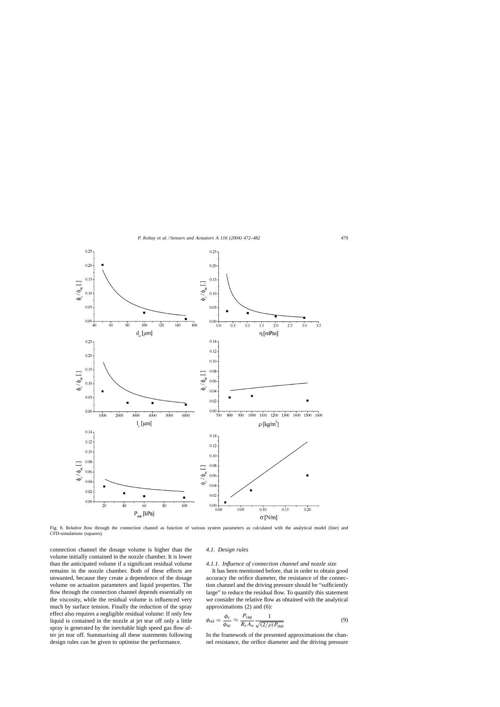<span id="page-7-0"></span>

Fig. 8. Relative flow through the connection channel as function of various system parameters as calculated with the analytical model (line) and CFD-simulations (squares).

connection channel the dosage volume is higher than the volume initially contained in the nozzle chamber. It is lower than the anticipated volume if a significant residual volume remains in the nozzle chamber. Both of these effects are unwanted, because they create a dependence of the dosage volume on actuation parameters and liquid properties. The flow through the connection channel depends essentially on the viscosity, while the residual volume is influenced very much by surface tension. Finally the reduction of the spray effect also requires a negligible residual volume: If only few liquid is contained in the nozzle at jet tear off only a little spray is generated by the inevitable high speed gas flow after jet tear off. Summarising all these statements following design rules can be given to optimise the performance.

#### *4.1. Design rules*

#### *4.1.1. Influence of connection channel and nozzle size*

It has been mentioned before, that in order to obtain good accuracy the orifice diameter, the resistance of the connection channel and the driving pressure should be "sufficiently large" to reduce the residual flow. To quantify this statement we consider the relative flow as obtained with the analytical approximations (2) and (6):

$$
\phi_{\text{rel}} = \frac{\phi_{\text{c}}}{\phi_{\text{nc}}} \approx \frac{P_{\text{cap}}}{R_{\text{c}}A_{\text{o}}} \frac{1}{\sqrt{(2/\rho)P_{\text{stat}}}}
$$
(9)

In the framework of the presented approximations the channel resistance, the orifice diameter and the driving pressure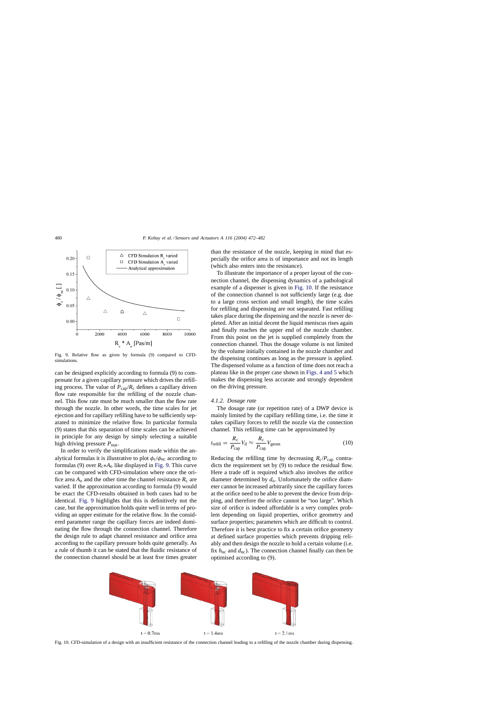

Fig. 9. Relative flow as given by formula (9) compared to CFDsimulations.

can be designed explicitly according to formula (9) to compensate for a given capillary pressure which drives the refilling process. The value of  $P_{\text{cap}}/R_c$  defines a capillary driven flow rate responsible for the refilling of the nozzle channel. This flow rate must be much smaller than the flow rate through the nozzle. In other words, the time scales for jet ejection and for capillary refilling have to be sufficiently separated to minimize the relative flow. In particular formula (9) states that this separation of time scales can be achieved in principle for any design by simply selecting a suitable high driving pressure  $P_{\text{stat}}$ .

In order to verify the simplifications made within the analytical formulas it is illustrative to plot  $\phi_c/\phi_{nc}$  according to formulas (9) over  $R_c * A_0$  like displayed in Fig. 9. This curve can be compared with CFD-simulation where once the orifice area  $A_0$  and the other time the channel resistance  $R_c$  are varied. If the approximation according to formula (9) would be exact the CFD-results obtained in both cases had to be identical. Fig. 9 highlights that this is definitively not the case, but the approximation holds quite well in terms of providing an upper estimate for the relative flow. In the considered parameter range the capillary forces are indeed dominating the flow through the connection channel. Therefore the design rule to adapt channel resistance and orifice area according to the capillary pressure holds quite generally. As a rule of thumb it can be stated that the fluidic resistance of the connection channel should be at least five times greater than the resistance of the nozzle, keeping in mind that especially the orifice area is of importance and not its length (which also enters into the resistance).

To illustrate the importance of a proper layout of the connection channel, the dispensing dynamics of a pathological example of a dispenser is given in Fig. 10. If the resistance of the connection channel is not sufficiently large (e.g. due to a large cross section and small length), the time scales for refilling and dispensing are not separated. Fast refilling takes place during the dispensing and the nozzle is never depleted. After an initial decent the liquid meniscus rises again and finally reaches the upper end of the nozzle chamber. From this point on the jet is supplied completely from the connection channel. Thus the dosage volume is not limited by the volume initially contained in the nozzle chamber and the dispensing continues as long as the pressure is applied. The dispensed volume as a function of time does not reach a plateau like in the proper case shown in [Figs. 4 and 5](#page-3-0) which makes the dispensing less accurate and strongly dependent on the driving pressure.

#### *4.1.2. Dosage rate*

The dosage rate (or repetition rate) of a DWP device is mainly limited by the capillary refilling time, i.e. the time it takes capillary forces to refill the nozzle via the connection channel. This refilling time can be approximated by

$$
t_{\text{refill}} = \frac{R_{\text{c}}}{P_{\text{cap}}} V_{\text{d}} \approx \frac{R_{\text{c}}}{P_{\text{cap}}} V_{\text{geom}}
$$
(10)

Reducing the refilling time by decreasing  $R_c/P_{cap}$  contradicts the requirement set by (9) to reduce the residual flow. Here a trade off is required which also involves the orifice diameter determined by *d*o. Unfortunately the orifice diameter cannot be increased arbitrarily since the capillary forces at the orifice need to be able to prevent the device from dripping, and therefore the orifice cannot be "too large". Which size of orifice is indeed affordable is a very complex problem depending on liquid properties, orifice geometry and surface properties; parameters which are difficult to control. Therefore it is best practice to fix a certain orifice geometry at defined surface properties which prevents dripping reliably and then design the nozzle to hold a certain volume (i.e. fix  $h_{\text{nc}}$  and  $d_{\text{nc}}$ ). The connection channel finally can then be optimised according to (9).



Fig. 10. CFD-simulation of a design with an insufficient resistance of the connection channel leading to a refilling of the nozzle chamber during dispensing.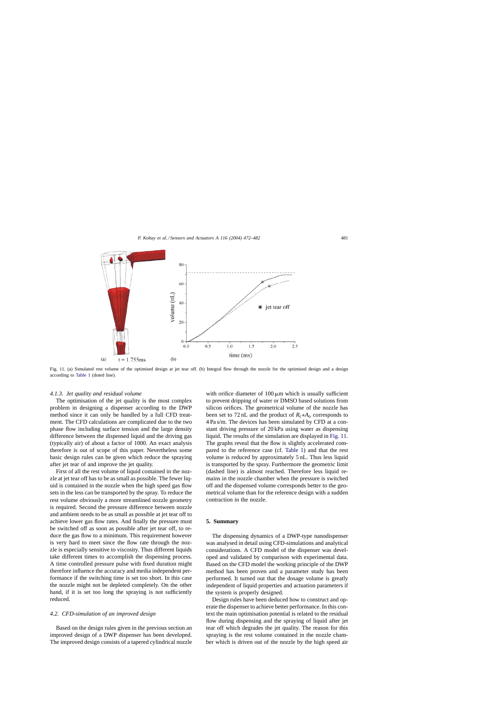

Fig. 11. (a) Simulated rest volume of the optimised design at jet tear off. (b) Integral flow through the nozzle for the optimised design and a design according to [Table 1](#page-4-0) (doted line).

## *4.1.3. Jet quality and residual volume*

The optimisation of the jet quality is the most complex problem in designing a dispenser according to the DWP method since it can only be handled by a full CFD treatment. The CFD calculations are complicated due to the two phase flow including surface tension and the large density difference between the dispensed liquid and the driving gas (typically air) of about a factor of 1000. An exact analysis therefore is out of scope of this paper. Nevertheless some basic design rules can be given which reduce the spraying after jet tear of and improve the jet quality.

First of all the rest volume of liquid contained in the nozzle at jet tear off has to be as small as possible. The fewer liquid is contained in the nozzle when the high speed gas flow sets in the less can be transported by the spray. To reduce the rest volume obviously a more streamlined nozzle geometry is required. Second the pressure difference between nozzle and ambient needs to be as small as possible at jet tear off to achieve lower gas flow rates. And finally the pressure must be switched off as soon as possible after jet tear off, to reduce the gas flow to a minimum. This requirement however is very hard to meet since the flow rate through the nozzle is especially sensitive to viscosity. Thus different liquids take different times to accomplish the dispensing process. A time controlled pressure pulse with fixed duration might therefore influence the accuracy and media independent performance if the switching time is set too short. In this case the nozzle might not be depleted completely. On the other hand, if it is set too long the spraying is not sufficiently reduced.

#### *4.2. CFD-simulation of an improved design*

Based on the design rules given in the previous section an improved design of a DWP dispenser has been developed. The improved design consists of a tapered cylindrical nozzle with orifice diameter of  $100 \mu m$  which is usually sufficient to prevent dripping of water or DMSO based solutions from silicon orifices. The geometrical volume of the nozzle has been set to 72 nL and the product of *R*c∗*A*<sup>o</sup> corresponds to 4 Pa s/m. The devices has been simulated by CFD at a constant driving pressure of 20 kPa using water as dispensing liquid. The results of the simulation are displayed in Fig. 11. The graphs reveal that the flow is slightly accelerated compared to the reference case (cf. [Table 1\)](#page-4-0) and that the rest volume is reduced by approximately 5 nL. Thus less liquid is transported by the spray. Furthermore the geometric limit (dashed line) is almost reached. Therefore less liquid remains in the nozzle chamber when the pressure is switched off and the dispensed volume corresponds better to the geometrical volume than for the reference design with a sudden contraction in the nozzle.

#### **5. Summary**

The dispensing dynamics of a DWP-type nanodispenser was analysed in detail using CFD-simulations and analytical considerations. A CFD model of the dispenser was developed and validated by comparison with experimental data. Based on the CFD model the working principle of the DWP method has been proven and a parameter study has been performed. It turned out that the dosage volume is greatly independent of liquid properties and actuation parameters if the system is properly designed.

Design rules have been deduced how to construct and operate the dispenser to achieve better performance. In this context the main optimisation potential is related to the residual flow during dispensing and the spraying of liquid after jet tear off which degrades the jet quality. The reason for this spraying is the rest volume contained in the nozzle chamber which is driven out of the nozzle by the high speed air